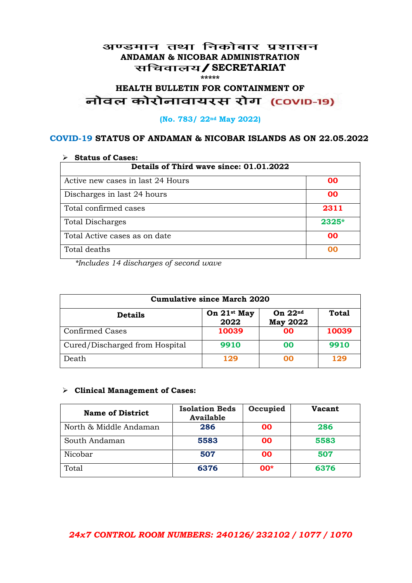## अण्डमान तथा निकोबार प्रशासन **ANDAMAN & NICOBAR ADMINISTRATION /SECRETARIAT \*\*\*\*\***

# HEALTH BULLETIN FOR CONTAINMENT OF<br>बोवल कोरोनावायरस रोग (COVID-19)

## **(No. 783/ 22nd May 2022)**

## **COVID-19 STATUS OF ANDAMAN & NICOBAR ISLANDS AS ON 22.05.2022**

| <b>Status of Cases:</b>                 |           |  |
|-----------------------------------------|-----------|--|
| Details of Third wave since: 01.01.2022 |           |  |
| Active new cases in last 24 Hours       | 00        |  |
| Discharges in last 24 hours             | 00        |  |
| Total confirmed cases                   | 2311      |  |
| <b>Total Discharges</b>                 | $2325*$   |  |
| Total Active cases as on date           | <b>OO</b> |  |
| Total deaths                            | OO        |  |

*\*Includes 14 discharges of second wave*

| <b>Cumulative since March 2020</b> |                                 |                              |              |
|------------------------------------|---------------------------------|------------------------------|--------------|
| <b>Details</b>                     | On 21 <sup>st</sup> May<br>2022 | On $22nd$<br><b>May 2022</b> | <b>Total</b> |
| <b>Confirmed Cases</b>             | 10039                           | 00                           | 10039        |
| Cured/Discharged from Hospital     | 9910                            | 00                           | 9910         |
| Death                              | 129                             | 00                           | 129          |

#### **Clinical Management of Cases:**

| <b>Name of District</b> | <b>Isolation Beds</b><br><b>Available</b> | Occupied | <b>Vacant</b> |
|-------------------------|-------------------------------------------|----------|---------------|
| North & Middle Andaman  | 286                                       | 00       | 286           |
| South Andaman           | 5583                                      | 00       | 5583          |
| Nicobar                 | 507                                       | 00       | 507           |
| Total                   | 6376                                      | $00*$    | 6376          |

## *24x7 CONTROL ROOM NUMBERS: 240126/ 232102 / 1077 / 1070*